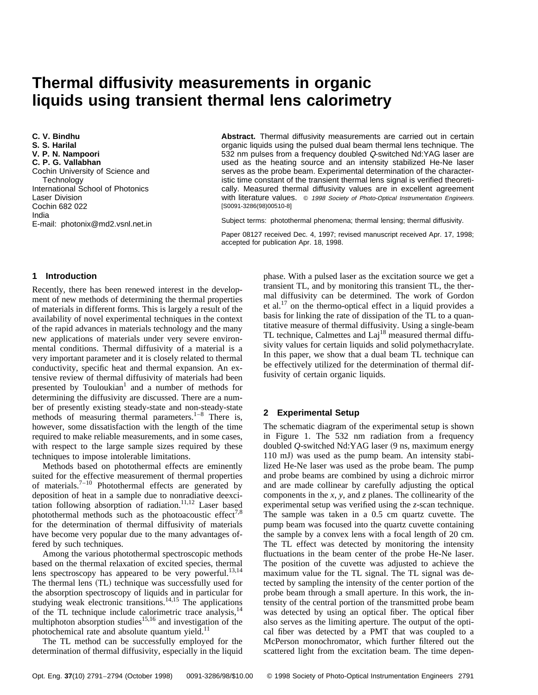# **Thermal diffusivity measurements in organic liquids using transient thermal lens calorimetry**

**C. V. Bindhu S. S. Harilal V. P. N. Nampoori C. P. G. Vallabhan** Cochin University of Science and **Technology** International School of Photonics Laser Division Cochin 682 022 India E-mail: photonix@md2.vsnl.net.in

**Abstract.** Thermal diffusivity measurements are carried out in certain organic liquids using the pulsed dual beam thermal lens technique. The 532 nm pulses from a frequency doubled Q-switched Nd:YAG laser are used as the heating source and an intensity stabilized He-Ne laser serves as the probe beam. Experimental determination of the characteristic time constant of the transient thermal lens signal is verified theoretically. Measured thermal diffusivity values are in excellent agreement with literature values.  $\circ$  1998 Society of Photo-Optical Instrumentation Engineers. [S0091-3286(98)00510-8]

Subject terms: photothermal phenomena; thermal lensing; thermal diffusivity.

Paper 08127 received Dec. 4, 1997; revised manuscript received Apr. 17, 1998; accepted for publication Apr. 18, 1998.

## **1 Introduction**

Recently, there has been renewed interest in the development of new methods of determining the thermal properties of materials in different forms. This is largely a result of the availability of novel experimental techniques in the context of the rapid advances in materials technology and the many new applications of materials under very severe environmental conditions. Thermal diffusivity of a material is a very important parameter and it is closely related to thermal conductivity, specific heat and thermal expansion. An extensive review of thermal diffusivity of materials had been presented by Touloukian<sup>1</sup> and a number of methods for determining the diffusivity are discussed. There are a number of presently existing steady-state and non-steady-state methods of measuring thermal parameters.<sup>1–8</sup> There is, however, some dissatisfaction with the length of the time required to make reliable measurements, and in some cases, with respect to the large sample sizes required by these techniques to impose intolerable limitations.

Methods based on photothermal effects are eminently suited for the effective measurement of thermal properties of materials. $7-10$  Photothermal effects are generated by deposition of heat in a sample due to nonradiative deexcitation following absorption of radiation.<sup>11,12</sup> Laser based photothermal methods such as the photoacoustic effect<sup>7,8</sup> for the determination of thermal diffusivity of materials have become very popular due to the many advantages offered by such techniques.

Among the various photothermal spectroscopic methods based on the thermal relaxation of excited species, thermal lens spectroscopy has appeared to be very powerful.<sup>13,14</sup> The thermal lens (TL) technique was successfully used for the absorption spectroscopy of liquids and in particular for studying weak electronic transitions.<sup>14,15</sup> The applications of the TL technique include calorimetric trace analysis,<sup>1</sup> multiphoton absorption studies<sup>15,16</sup> and investigation of the photochemical rate and absolute quantum yield.<sup>11</sup>

The TL method can be successfully employed for the determination of thermal diffusivity, especially in the liquid phase. With a pulsed laser as the excitation source we get a transient TL, and by monitoring this transient TL, the thermal diffusivity can be determined. The work of Gordon et al.17 on the thermo-optical effect in a liquid provides a basis for linking the rate of dissipation of the TL to a quantitative measure of thermal diffusivity. Using a single-beam TL technique, Calmettes and  $\text{Laj}^{18}$  measured thermal diffusivity values for certain liquids and solid polymethacrylate. In this paper, we show that a dual beam TL technique can be effectively utilized for the determination of thermal diffusivity of certain organic liquids.

# **2 Experimental Setup**

The schematic diagram of the experimental setup is shown in Figure 1. The 532 nm radiation from a frequency doubled *Q*-switched Nd:YAG laser (9 ns, maximum energy 110 mJ) was used as the pump beam. An intensity stabilized He-Ne laser was used as the probe beam. The pump and probe beams are combined by using a dichroic mirror and are made collinear by carefully adjusting the optical components in the *x*, *y*, and *z* planes. The collinearity of the experimental setup was verified using the *z*-scan technique. The sample was taken in a 0.5 cm quartz cuvette. The pump beam was focused into the quartz cuvette containing the sample by a convex lens with a focal length of 20 cm. The TL effect was detected by monitoring the intensity fluctuations in the beam center of the probe He-Ne laser. The position of the cuvette was adjusted to achieve the maximum value for the TL signal. The TL signal was detected by sampling the intensity of the center portion of the probe beam through a small aperture. In this work, the intensity of the central portion of the transmitted probe beam was detected by using an optical fiber. The optical fiber also serves as the limiting aperture. The output of the optical fiber was detected by a PMT that was coupled to a McPerson monochromator, which further filtered out the scattered light from the excitation beam. The time depen-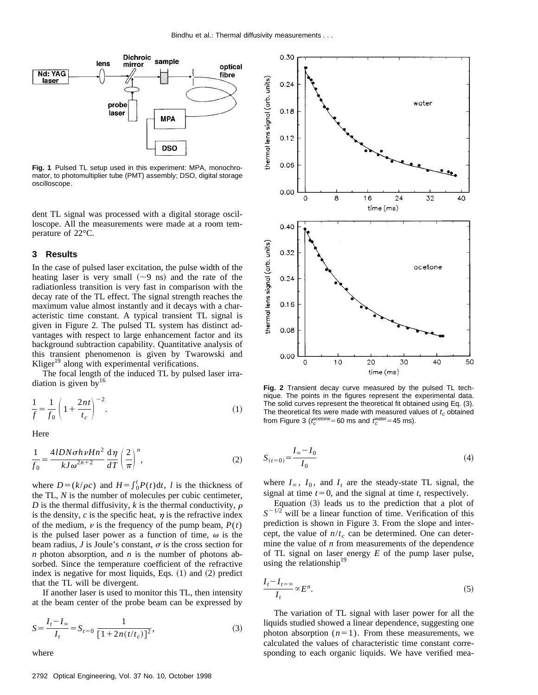

**Fig. 1** Pulsed TL setup used in this experiment: MPA, monochromator, to photomultiplier tube (PMT) assembly; DSO, digital storage oscilloscope.

dent TL signal was processed with a digital storage oscilloscope. All the measurements were made at a room temperature of 22°C.

#### **3 Results**

In the case of pulsed laser excitation, the pulse width of the heating laser is very small  $({\sim}9 \text{ ns})$  and the rate of the radiationless transition is very fast in comparison with the decay rate of the TL effect. The signal strength reaches the maximum value almost instantly and it decays with a characteristic time constant. A typical transient TL signal is given in Figure 2. The pulsed TL system has distinct advantages with respect to large enhancement factor and its background subtraction capability. Quantitative analysis of this transient phenomenon is given by Twarowski and Kliger<sup>19</sup> along with experimental verifications.

The focal length of the induced TL by pulsed laser irradiation is given by $16$ 

$$
\frac{1}{f} = \frac{1}{f_0} \left( 1 + \frac{2nt}{t_c} \right)^{-2}.
$$
\n(1)

Here

$$
\frac{1}{f_0} = \frac{4lDN\sigma h\nu Hn^2}{kJ\omega^{2n+2}} \frac{d\eta}{dT} \left(\frac{2}{\pi}\right)^n,
$$
\n(2)

where  $D = (k/\rho c)$  and  $H = \int_0^t P(t) dt$ , *l* is the thickness of the TL, *N* is the number of molecules per cubic centimeter, *D* is the thermal diffusivity, *k* is the thermal conductivity,  $\rho$ is the density,  $c$  is the specific heat,  $\eta$  is the refractive index of the medium,  $\nu$  is the frequency of the pump beam,  $P(t)$ is the pulsed laser power as a function of time,  $\omega$  is the beam radius,  $J$  is Joule's constant,  $\sigma$  is the cross section for *n* photon absorption, and *n* is the number of photons absorbed. Since the temperature coefficient of the refractive index is negative for most liquids, Eqs.  $(1)$  and  $(2)$  predict that the TL will be divergent.

If another laser is used to monitor this TL, then intensity at the beam center of the probe beam can be expressed by

$$
S = \frac{I_t - I_\infty}{I_t} = S_{t=0} \frac{1}{[1 + 2n(t/t_c)]^2},
$$
\n(3)

where



**Fig. 2** Transient decay curve measured by the pulsed TL technique. The points in the figures represent the experimental data. The solid curves represent the theoretical fit obtained using Eq. (3). The theoretical fits were made with measured values of  $t_c$  obtained from Figure 3 ( $t_c^{\text{acetone}}$  = 60 ms and  $t_c^{\text{water}}$  = 45 ms).

$$
S_{(t=0)} = \frac{I_{\infty} - I_0}{I_0}
$$
\n(4)

where  $I_\infty$ ,  $I_0$ , and  $I_t$  are the steady-state TL signal, the signal at time  $t=0$ , and the signal at time  $t$ , respectively.

Equation  $(3)$  leads us to the prediction that a plot of  $S^{-1/2}$  will be a linear function of time. Verification of this prediction is shown in Figure 3. From the slope and intercept, the value of  $n/t_c$  can be determined. One can determine the value of *n* from measurements of the dependence of TL signal on laser energy *E* of the pump laser pulse, using the relationship $19$ 

$$
\frac{I_t - I_{t=\infty}}{I_t} \propto E^n.
$$
\n<sup>(5)</sup>

The variation of TL signal with laser power for all the liquids studied showed a linear dependence, suggesting one photon absorption  $(n=1)$ . From these measurements, we calculated the values of characteristic time constant corresponding to each organic liquids. We have verified mea-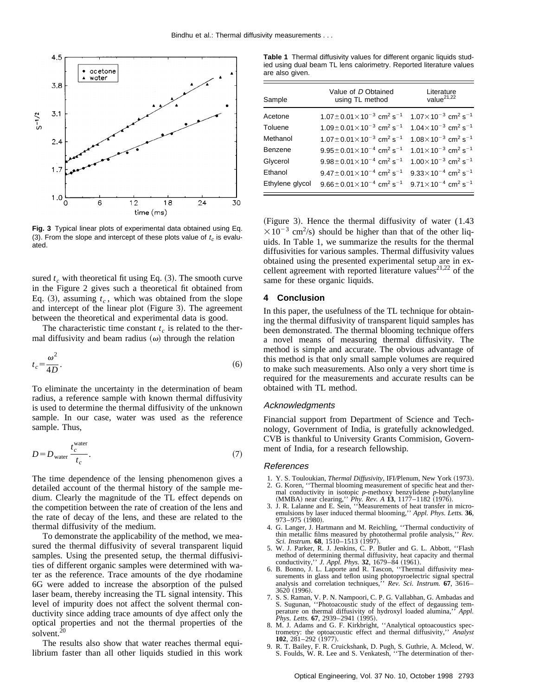

**Fig. 3** Typical linear plots of experimental data obtained using Eq. (3). From the slope and intercept of these plots value of  $t_c$  is evaluated.

sured  $t_c$  with theoretical fit using Eq.  $(3)$ . The smooth curve in the Figure 2 gives such a theoretical fit obtained from Eq.  $(3)$ , assuming  $t_c$ , which was obtained from the slope and intercept of the linear plot (Figure 3). The agreement between the theoretical and experimental data is good.

The characteristic time constant  $t_c$  is related to the thermal diffusivity and beam radius  $(\omega)$  through the relation

$$
t_c = \frac{\omega^2}{4D}.\tag{6}
$$

To eliminate the uncertainty in the determination of beam radius, a reference sample with known thermal diffusivity is used to determine the thermal diffusivity of the unknown sample. In our case, water was used as the reference sample. Thus,

$$
D = D_{\text{water}} \frac{t_c^{\text{water}}}{t_c}.
$$
 (7)

The time dependence of the lensing phenomenon gives a detailed account of the thermal history of the sample medium. Clearly the magnitude of the TL effect depends on the competition between the rate of creation of the lens and the rate of decay of the lens, and these are related to the thermal diffusivity of the medium.

To demonstrate the applicability of the method, we measured the thermal diffusivity of several transparent liquid samples. Using the presented setup, the thermal diffusivities of different organic samples were determined with water as the reference. Trace amounts of the dye rhodamine 6G were added to increase the absorption of the pulsed laser beam, thereby increasing the TL signal intensity. This level of impurity does not affect the solvent thermal conductivity since adding trace amounts of dye affect only the optical properties and not the thermal properties of the solvent.<sup>20</sup>

The results also show that water reaches thermal equilibrium faster than all other liquids studied in this work

**Table 1** Thermal diffusivity values for different organic liquids studied using dual beam TL lens calorimetry. Reported literature values are also given.

| Sample          | Value of D Obtained<br>using TL method                         | Literature<br>value <sup>21,22</sup>                  |
|-----------------|----------------------------------------------------------------|-------------------------------------------------------|
| Acetone         | $1.07 \pm 0.01 \times 10^{-3}$ cm <sup>2</sup> s <sup>-1</sup> | $1.07\times10^{-3}$ cm <sup>2</sup> s <sup>-1</sup>   |
| Toluene         | $1.09 \pm 0.01 \times 10^{-3}$ cm <sup>2</sup> s <sup>-1</sup> | $1.04\times10^{-3}$ cm <sup>2</sup> s <sup>-1</sup>   |
| Methanol        | $1.07 \pm 0.01 \times 10^{-3}$ cm <sup>2</sup> s <sup>-1</sup> | $1.08\times10^{-3}$ cm <sup>2</sup> s <sup>-1</sup>   |
| Benzene         | $9.95 \pm 0.01 \times 10^{-4}$ cm <sup>2</sup> s <sup>-1</sup> | $1.01 \times 10^{-3}$ cm <sup>2</sup> s <sup>-1</sup> |
| Glycerol        | $9.98 \pm 0.01 \times 10^{-4}$ cm <sup>2</sup> s <sup>-1</sup> | $1.00\times10^{-3}$ cm <sup>2</sup> s <sup>-1</sup>   |
| Ethanol         | $9.47 \pm 0.01 \times 10^{-4}$ cm <sup>2</sup> s <sup>-1</sup> | $9.33 \times 10^{-4}$ cm <sup>2</sup> s <sup>-1</sup> |
| Ethylene glycol | $9.66 \pm 0.01 \times 10^{-4}$ cm <sup>2</sup> s <sup>-1</sup> | $9.71 \times 10^{-4}$ cm <sup>2</sup> s <sup>-1</sup> |

(Figure 3). Hence the thermal diffusivity of water  $(1.43)$  $\times 10^{-3}$  cm<sup>2</sup>/s) should be higher than that of the other liquids. In Table 1, we summarize the results for the thermal diffusivities for various samples. Thermal diffusivity values obtained using the presented experimental setup are in excellent agreement with reported literature values<sup>21,22</sup> of the same for these organic liquids.

### **4 Conclusion**

In this paper, the usefulness of the TL technique for obtaining the thermal diffusivity of transparent liquid samples has been demonstrated. The thermal blooming technique offers a novel means of measuring thermal diffusivity. The method is simple and accurate. The obvious advantage of this method is that only small sample volumes are required to make such measurements. Also only a very short time is required for the measurements and accurate results can be obtained with TL method.

#### Acknowledgments

Financial support from Department of Science and Technology, Government of India, is gratefully acknowledged. CVB is thankful to University Grants Commision, Government of India, for a research fellowship.

#### References

- 1. Y. S. Touloukian, *Thermal Diffusivity*, IFI/Plenum, New York (1973).
- 2. G. Koren, ''Thermal blooming measurement of specific heat and ther-
- mal conductivity in isotopic  $p$ -methoxy benzylidene  $p$ -butylanyline (MMBA) near clearing," *Phy. Rev. A* **13**, 1177–1182 (1976).<br>3. J. R. Lalanne and E. Sein, "Measurements of heat transfer in micro-emulsions by laser i 973–975 (1980).
- 4. G. Langer, J. Hartmann and M. Reichling, ''Thermal conductivity of thin metallic films measured by photothermal profile analysis,'' *Rev. Sci. Instrum.* **68**, 1510–1513 (1997).
- 5. W. J. Parker, R. J. Jenkins, C. P. Butler and G. L. Abbott, ''Flash method of determining thermal diffusivity, heat capacity and thermal conductivity," *J. Appl. Phys.* **32**, 1679–84 (1961).
- 6. B. Bonno, J. L. Laporte and R. Tascon, ''Thermal diffusivity measurements in glass and teflon using photopyroelectric signal spectral analysis and correlation techniques,'' *Rev. Sci. Instrum.* **67**, 3616– 3620<sup>(1996)</sup>.
- 7. S. S. Raman, V. P. N. Nampoori, C. P. G. Vallabhan, G. Ambadas and S. Sugunan, "Photoacoustic study of the effect of degaussing tem-<br>perature on thermal diffusivity of hydroxyl loaded alumina." Appl. perature on thermal diffusivity of hydroxyl loaded alumina,'<br>Phys. Letts. **67**, 2939–2941 (1995).
- 8. M. J. Adams and G. F. Kirkbright, "Analytical optoacoustics spectrometry: the optoacoustic effect and thermal diffusivity,'' *Analyst*
- **102**, 281–292 (1977).<br>
9. R. T. Bailey, F. R. Cruickshank, D. Pugh, S. Guthrie, A. Mcleod, W.<br>
S. Foulds, W. R. Lee and S. Venkatesh, "The determination of ther-